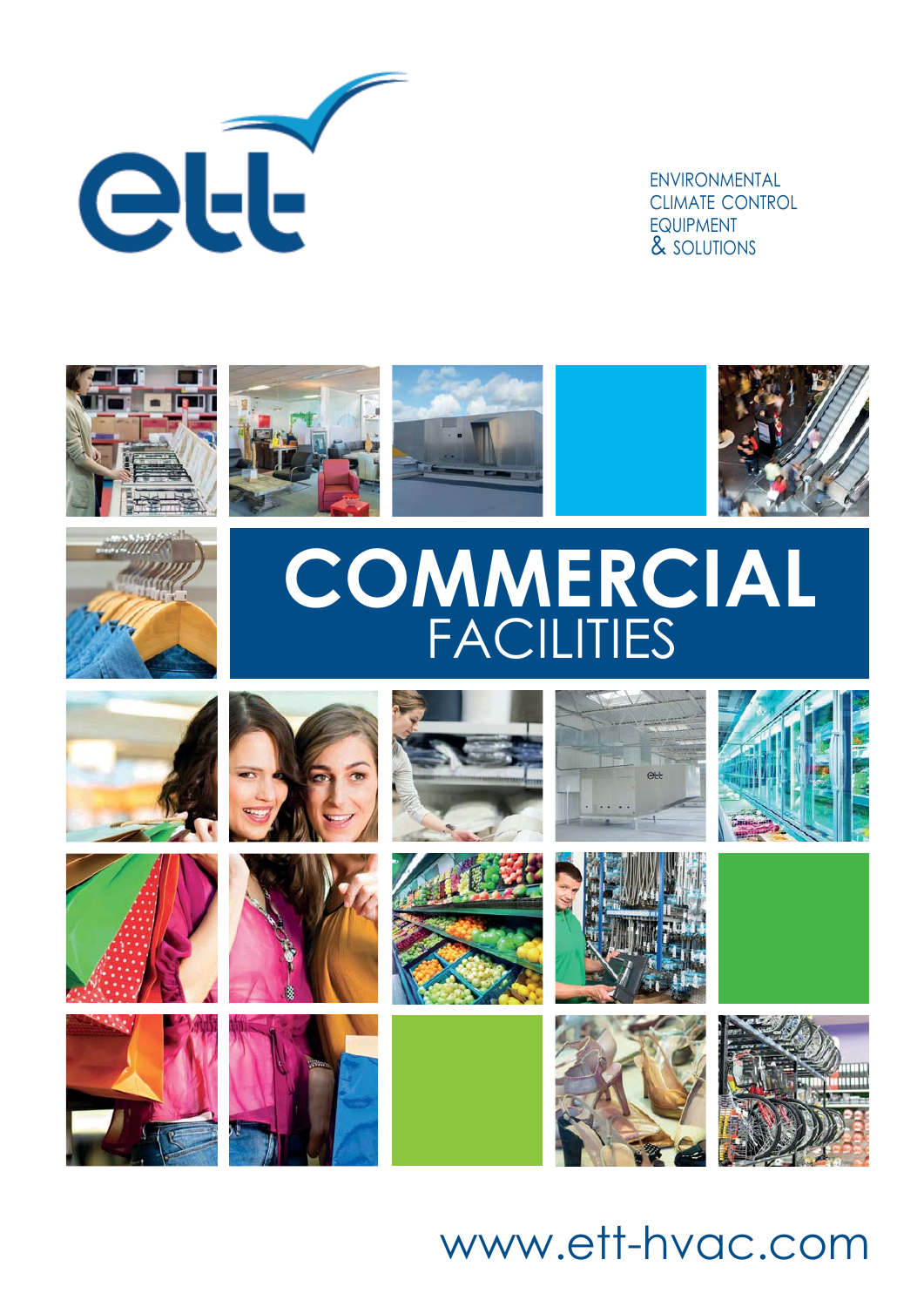

ENVIRONMENTAL CLIMATE CONTROL EQUIPMENT & SOLUTIONS











# **COMMERCIAL** FACILITIES





















ett





## www.ett-hvac.com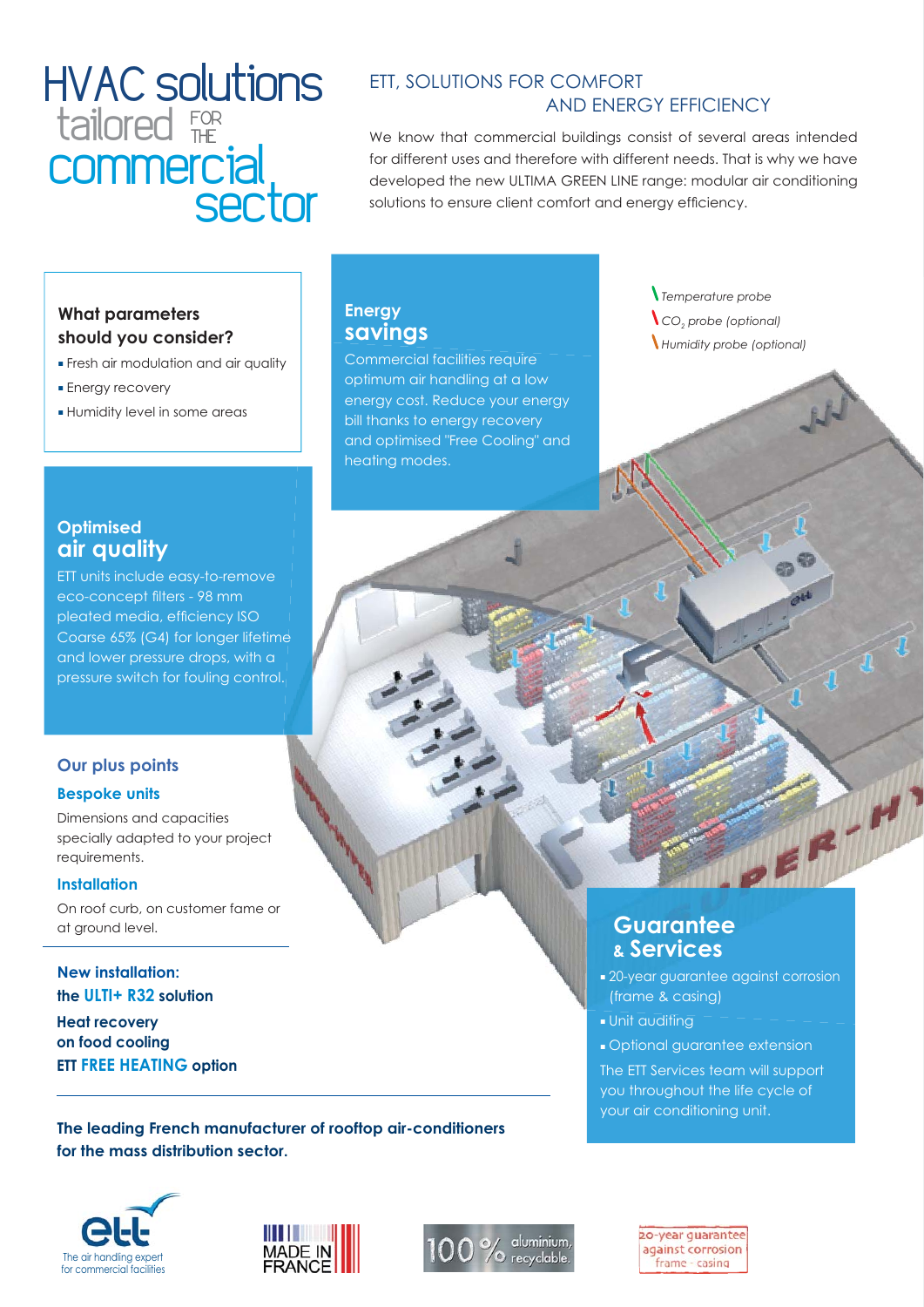## HVAC solutions **commercial** tailored FOR **sector**

### ETT, SOLUTIONS FOR COMFORT AND ENERGY EFFICIENCY

We know that commercial buildings consist of several areas intended for different uses and therefore with different needs. That is why we have developed the new ULTIMA GREEN LINE range: modular air conditioning solutions to ensure client comfort and energy efficiency.

### **What parameters should you consider?**

- Fresh air modulation and air quality
- Energy recovery
- Humidity level in some areas

### **Energy savings**

Commercial facilities require optimum air handling at a low energy cost. Reduce your energy bill thanks to energy recovery and optimised "Free Cooling" and heating modes.

 *Temperature probe CO2 probe (optional) Humidity probe (optional)*

### **Optimised air quality**

ETT units include easy-to-remove eco-concept filters - 98 mm pleated media, efficiency ISO Coarse 65% (G4) for longer lifetime and lower pressure drops, with a pressure switch for fouling control.

### **Our plus points**

#### **Bespoke units**

Dimensions and capacities specially adapted to your project requirements.

#### **Installation**

On roof curb, on customer fame or at ground level.

**New installation: the ULTI+ R32 solution Heat recovery on food cooling ETT FREE HEATING option**

**The leading French manufacturer of rooftop air-conditioners for the mass distribution sector.**







20-year quarantee against corrosion frame - casing

**Guarantee & Services**

(frame & casing)

■ Unit auditing

■ 20-year guarantee against corrosion

■ Optional guarantee extension The ETT Services team will support you throughout the life cycle of your air conditioning unit.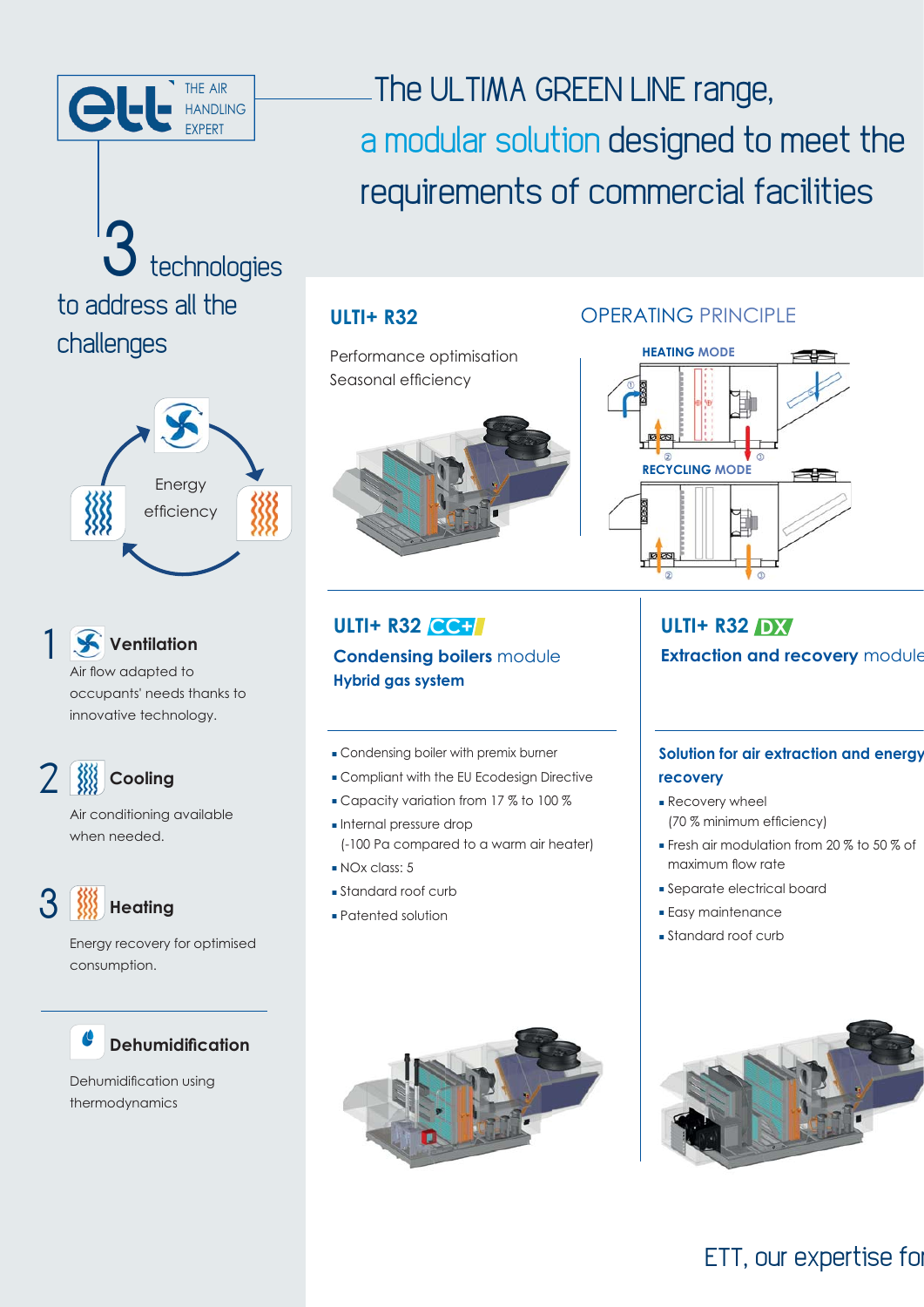

# technologies to address all the challenges



## 1 **Ventilation**

Air flow adapted to occupants' needs thanks to innovative technology.

2 **Cooling**

Air conditioning available when needed.

## 3 **Heating**

Energy recovery for optimised consumption.

## **Dehumidification**

Dehumidification using thermodynamics

## The ULTIMA GREEN LINE range, a modular solution designed to meet the requirements of commercial facilities

Performance optimisation Seasonal efficiency



## **ULTI+ R32 CC+ Condensing boilers** module **Hybrid gas system**

- Condensing boiler with premix burner
- Compliant with the EU Ecodesign Directive
- Capacity variation from 17 % to 100 %
- Internal pressure drop (-100 Pa compared to a warm air heater)
- NOx class: 5
- Standard roof curb
- Patented solution



## **ULTI+ R32 OPERATING PRINCIPLE**



## **ULTI+ R32 DX Extraction and recovery** module

## **Solution for air extraction and energy recovery**

- Recovery wheel (70 % minimum efficiency)
- Fresh air modulation from 20 % to 50 % of maximum flow rate
- Separate electrical board
- Easy maintenance
- Standard roof curb

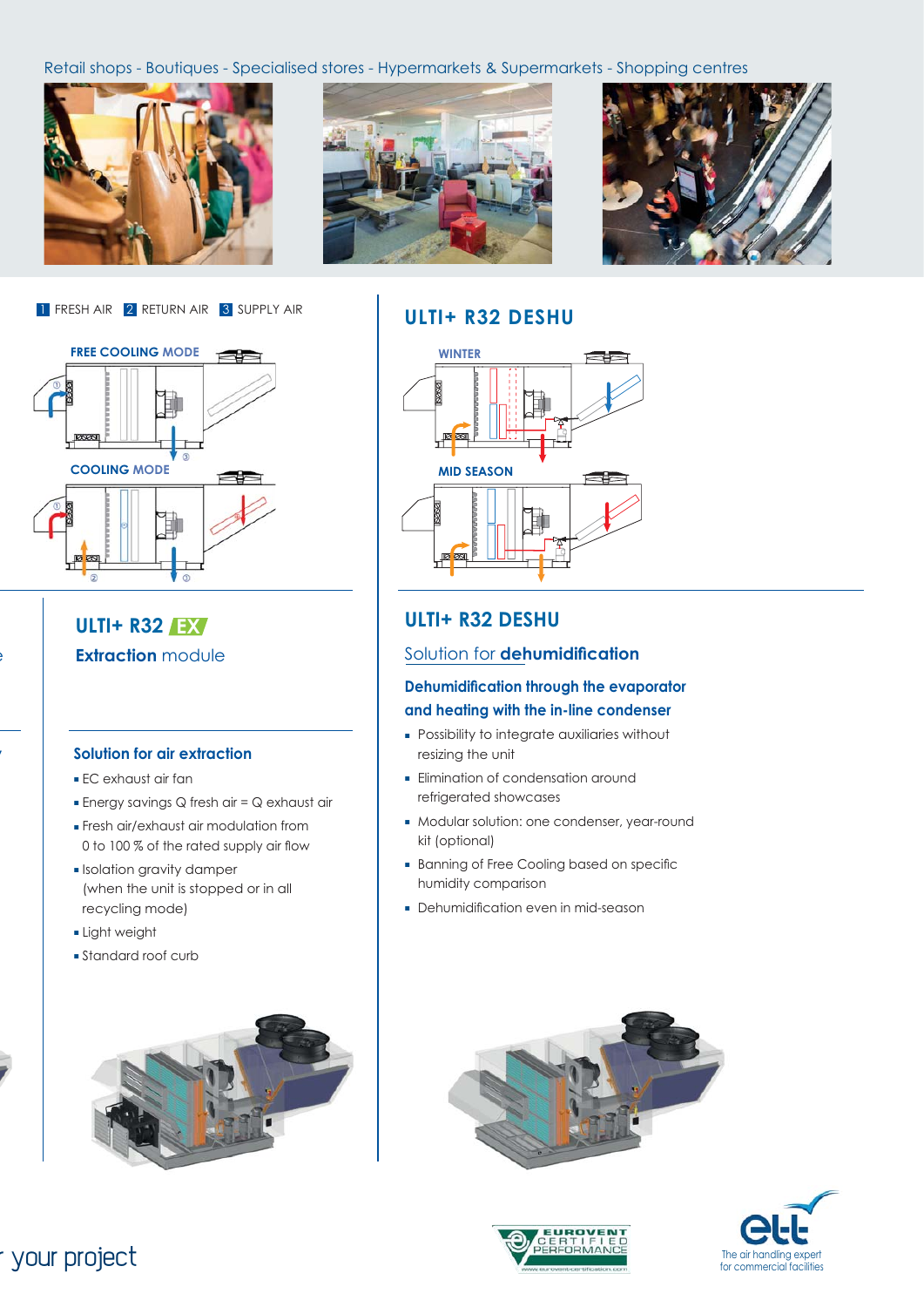Retail shops - Boutiques - Specialised stores - Hypermarkets & Supermarkets - Shopping centres







1 FRESH AIR 2 RETURN AIR 3 SUPPLY AIR



### **ULTI+ R32 EX Extraction** module

e

**y**

#### **Solution for air extraction**

- EC exhaust air fan
- Energy savings Q fresh air = Q exhaust air
- Fresh air/exhaust air modulation from 0 to 100 % of the rated supply air flow
- Isolation gravity damper (when the unit is stopped or in all recycling mode)
- Light weight
- Standard roof curb



## **ULTI+ R32 DESHU**



### **ULTI+ R32 DESHU**

#### Solution for **dehumidification**

#### **Dehumidification through the evaporator and heating with the in-line condenser**

- Possibility to integrate auxiliaries without resizing the unit
- Elimination of condensation around refrigerated showcases
- Modular solution: one condenser, year-round kit (optional)
- Banning of Free Cooling based on specific humidity comparison
- Dehumidification even in mid-season







## r your project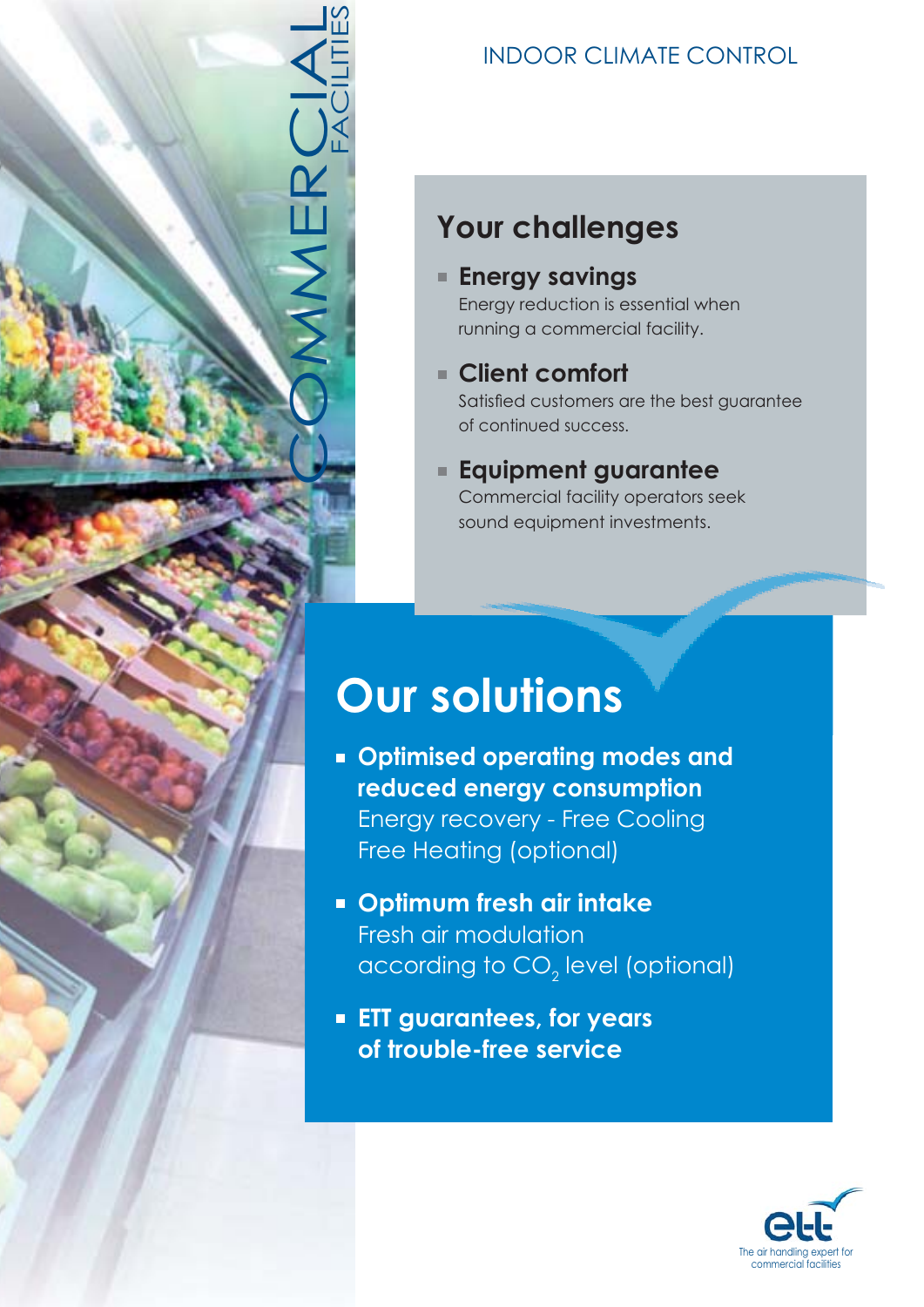

## INDOOR CLIMATE CONTROL

## **Your challenges**

**Energy savings**

Energy reduction is essential when running a commercial facility.

- **Client comfort** Satisfied customers are the best guarantee of continued success.
- **Equipment guarantee** Commercial facility operators seek

sound equipment investments.

# **Our solutions**

- **Optimised operating modes and reduced energy consumption** Energy recovery - Free Cooling Free Heating (optional)
- **Optimum fresh air intake** Fresh air modulation according to CO $_{\textrm{\tiny{2}}}$  level (optional)
- **ETT guarantees, for years of trouble-free service**